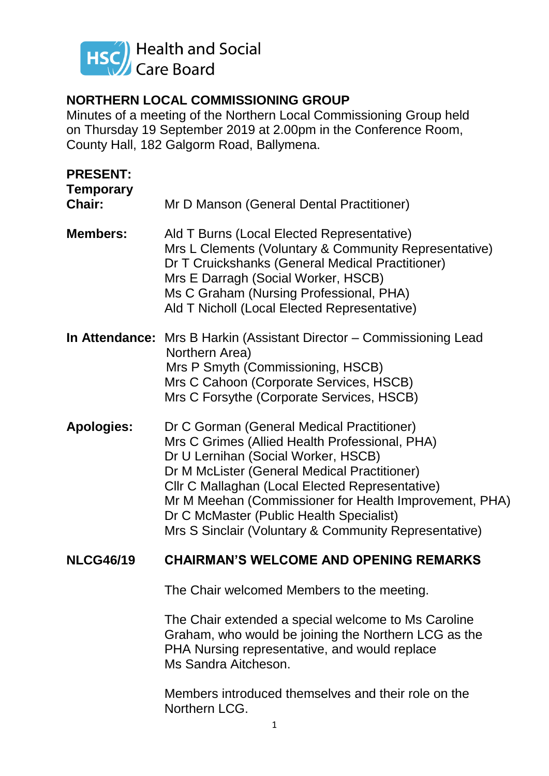

# **NORTHERN LOCAL COMMISSIONING GROUP**

Minutes of a meeting of the Northern Local Commissioning Group held on Thursday 19 September 2019 at 2.00pm in the Conference Room, County Hall, 182 Galgorm Road, Ballymena.

| <b>PRESENT:</b><br><b>Temporary</b><br>Chair: | Mr D Manson (General Dental Practitioner)                                                                                                                                                                                                                                                                                                                                                             |
|-----------------------------------------------|-------------------------------------------------------------------------------------------------------------------------------------------------------------------------------------------------------------------------------------------------------------------------------------------------------------------------------------------------------------------------------------------------------|
| <b>Members:</b>                               | Ald T Burns (Local Elected Representative)<br>Mrs L Clements (Voluntary & Community Representative)<br>Dr T Cruickshanks (General Medical Practitioner)<br>Mrs E Darragh (Social Worker, HSCB)<br>Ms C Graham (Nursing Professional, PHA)<br>Ald T Nicholl (Local Elected Representative)                                                                                                             |
|                                               | <b>In Attendance:</b> Mrs B Harkin (Assistant Director – Commissioning Lead<br>Northern Area)<br>Mrs P Smyth (Commissioning, HSCB)<br>Mrs C Cahoon (Corporate Services, HSCB)<br>Mrs C Forsythe (Corporate Services, HSCB)                                                                                                                                                                            |
| <b>Apologies:</b>                             | Dr C Gorman (General Medical Practitioner)<br>Mrs C Grimes (Allied Health Professional, PHA)<br>Dr U Lernihan (Social Worker, HSCB)<br>Dr M McLister (General Medical Practitioner)<br>Cllr C Mallaghan (Local Elected Representative)<br>Mr M Meehan (Commissioner for Health Improvement, PHA)<br>Dr C McMaster (Public Health Specialist)<br>Mrs S Sinclair (Voluntary & Community Representative) |
| <b>NLCG46/19</b>                              | <b>CHAIRMAN'S WELCOME AND OPENING REMARKS</b>                                                                                                                                                                                                                                                                                                                                                         |
|                                               | The Chair welcomed Members to the meeting.                                                                                                                                                                                                                                                                                                                                                            |
|                                               | The Chair extended a special welcome to Ms Caroline                                                                                                                                                                                                                                                                                                                                                   |

Graham, who would be joining the Northern LCG as the PHA Nursing representative, and would replace Ms Sandra Aitcheson.

Members introduced themselves and their role on the Northern LCG.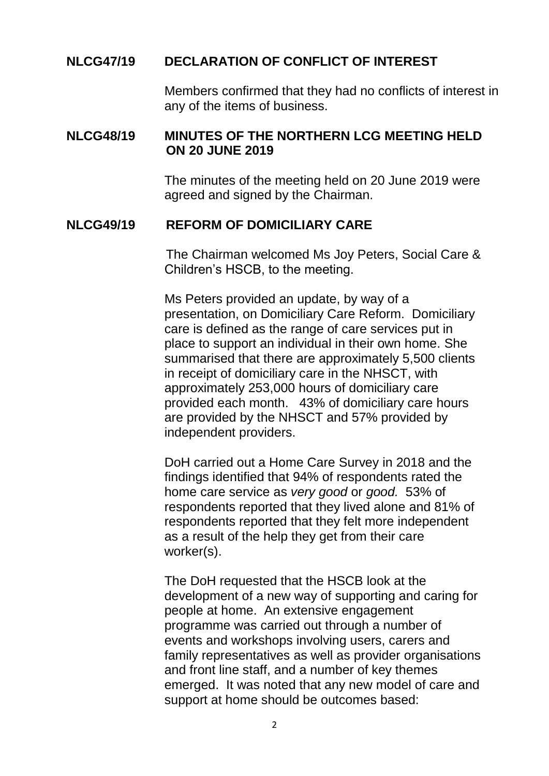### **NLCG47/19 DECLARATION OF CONFLICT OF INTEREST**

Members confirmed that they had no conflicts of interest in any of the items of business.

#### **NLCG48/19 MINUTES OF THE NORTHERN LCG MEETING HELD ON 20 JUNE 2019**

The minutes of the meeting held on 20 June 2019 were agreed and signed by the Chairman.

#### **NLCG49/19 REFORM OF DOMICILIARY CARE**

The Chairman welcomed Ms Joy Peters, Social Care & Children's HSCB, to the meeting.

Ms Peters provided an update, by way of a presentation, on Domiciliary Care Reform. Domiciliary care is defined as the range of care services put in place to support an individual in their own home. She summarised that there are approximately 5,500 clients in receipt of domiciliary care in the NHSCT, with approximately 253,000 hours of domiciliary care provided each month. 43% of domiciliary care hours are provided by the NHSCT and 57% provided by independent providers.

DoH carried out a Home Care Survey in 2018 and the findings identified that 94% of respondents rated the home care service as *very good* or *good.* 53% of respondents reported that they lived alone and 81% of respondents reported that they felt more independent as a result of the help they get from their care worker(s).

The DoH requested that the HSCB look at the development of a new way of supporting and caring for people at home. An extensive engagement programme was carried out through a number of events and workshops involving users, carers and family representatives as well as provider organisations and front line staff, and a number of key themes emerged. It was noted that any new model of care and support at home should be outcomes based: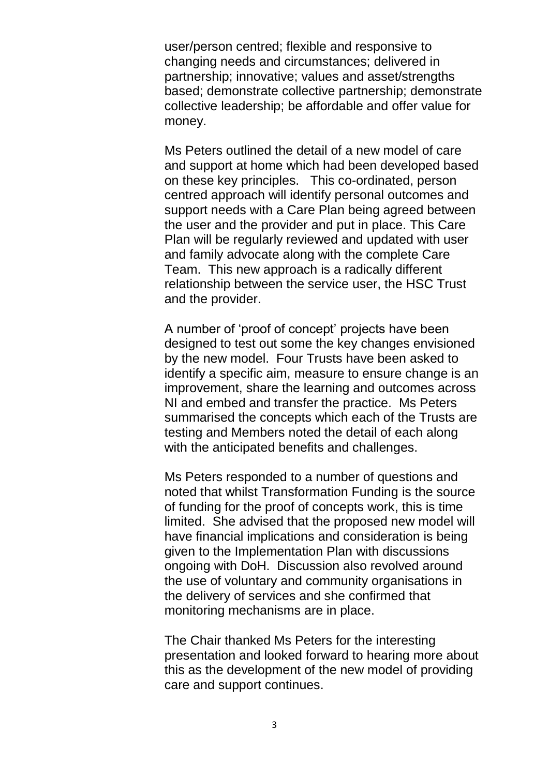user/person centred; flexible and responsive to changing needs and circumstances; delivered in partnership; innovative; values and asset/strengths based; demonstrate collective partnership; demonstrate collective leadership; be affordable and offer value for money.

Ms Peters outlined the detail of a new model of care and support at home which had been developed based on these key principles. This co-ordinated, person centred approach will identify personal outcomes and support needs with a Care Plan being agreed between the user and the provider and put in place. This Care Plan will be regularly reviewed and updated with user and family advocate along with the complete Care Team. This new approach is a radically different relationship between the service user, the HSC Trust and the provider.

A number of 'proof of concept' projects have been designed to test out some the key changes envisioned by the new model. Four Trusts have been asked to identify a specific aim, measure to ensure change is an improvement, share the learning and outcomes across NI and embed and transfer the practice. Ms Peters summarised the concepts which each of the Trusts are testing and Members noted the detail of each along with the anticipated benefits and challenges.

Ms Peters responded to a number of questions and noted that whilst Transformation Funding is the source of funding for the proof of concepts work, this is time limited. She advised that the proposed new model will have financial implications and consideration is being given to the Implementation Plan with discussions ongoing with DoH. Discussion also revolved around the use of voluntary and community organisations in the delivery of services and she confirmed that monitoring mechanisms are in place.

The Chair thanked Ms Peters for the interesting presentation and looked forward to hearing more about this as the development of the new model of providing care and support continues.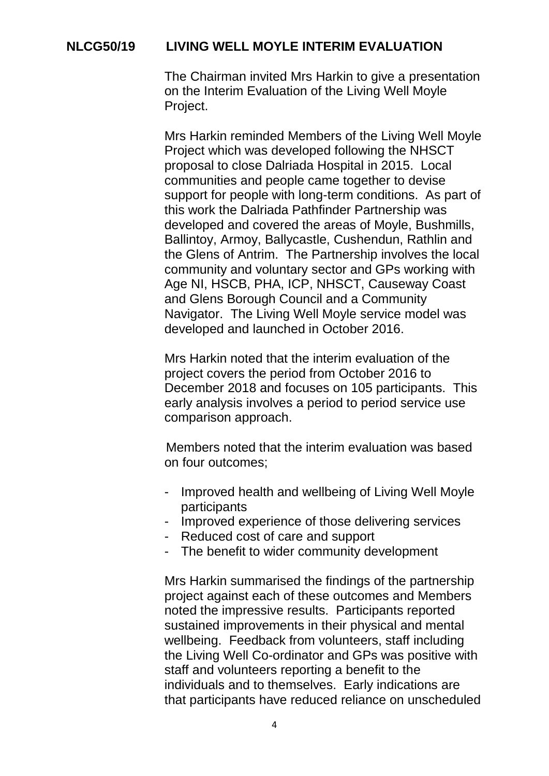## **NLCG50/19 LIVING WELL MOYLE INTERIM EVALUATION**

The Chairman invited Mrs Harkin to give a presentation on the Interim Evaluation of the Living Well Moyle Project.

Mrs Harkin reminded Members of the Living Well Moyle Project which was developed following the NHSCT proposal to close Dalriada Hospital in 2015. Local communities and people came together to devise support for people with long-term conditions. As part of this work the Dalriada Pathfinder Partnership was developed and covered the areas of Moyle, Bushmills, Ballintoy, Armoy, Ballycastle, Cushendun, Rathlin and the Glens of Antrim. The Partnership involves the local community and voluntary sector and GPs working with Age NI, HSCB, PHA, ICP, NHSCT, Causeway Coast and Glens Borough Council and a Community Navigator. The Living Well Moyle service model was developed and launched in October 2016.

Mrs Harkin noted that the interim evaluation of the project covers the period from October 2016 to December 2018 and focuses on 105 participants. This early analysis involves a period to period service use comparison approach.

Members noted that the interim evaluation was based on four outcomes;

- Improved health and wellbeing of Living Well Moyle participants
- Improved experience of those delivering services
- Reduced cost of care and support
- The benefit to wider community development

Mrs Harkin summarised the findings of the partnership project against each of these outcomes and Members noted the impressive results. Participants reported sustained improvements in their physical and mental wellbeing. Feedback from volunteers, staff including the Living Well Co-ordinator and GPs was positive with staff and volunteers reporting a benefit to the individuals and to themselves. Early indications are that participants have reduced reliance on unscheduled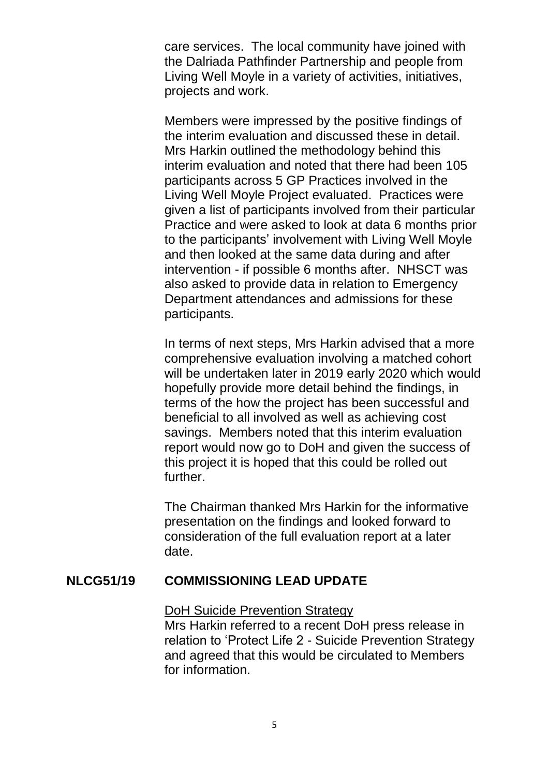care services. The local community have joined with the Dalriada Pathfinder Partnership and people from Living Well Moyle in a variety of activities, initiatives, projects and work.

Members were impressed by the positive findings of the interim evaluation and discussed these in detail. Mrs Harkin outlined the methodology behind this interim evaluation and noted that there had been 105 participants across 5 GP Practices involved in the Living Well Moyle Project evaluated. Practices were given a list of participants involved from their particular Practice and were asked to look at data 6 months prior to the participants' involvement with Living Well Moyle and then looked at the same data during and after intervention - if possible 6 months after. NHSCT was also asked to provide data in relation to Emergency Department attendances and admissions for these participants.

In terms of next steps, Mrs Harkin advised that a more comprehensive evaluation involving a matched cohort will be undertaken later in 2019 early 2020 which would hopefully provide more detail behind the findings, in terms of the how the project has been successful and beneficial to all involved as well as achieving cost savings. Members noted that this interim evaluation report would now go to DoH and given the success of this project it is hoped that this could be rolled out further.

The Chairman thanked Mrs Harkin for the informative presentation on the findings and looked forward to consideration of the full evaluation report at a later date.

### **NLCG51/19 COMMISSIONING LEAD UPDATE**

#### DoH Suicide Prevention Strategy

Mrs Harkin referred to a recent DoH press release in relation to 'Protect Life 2 - Suicide Prevention Strategy and agreed that this would be circulated to Members for information.